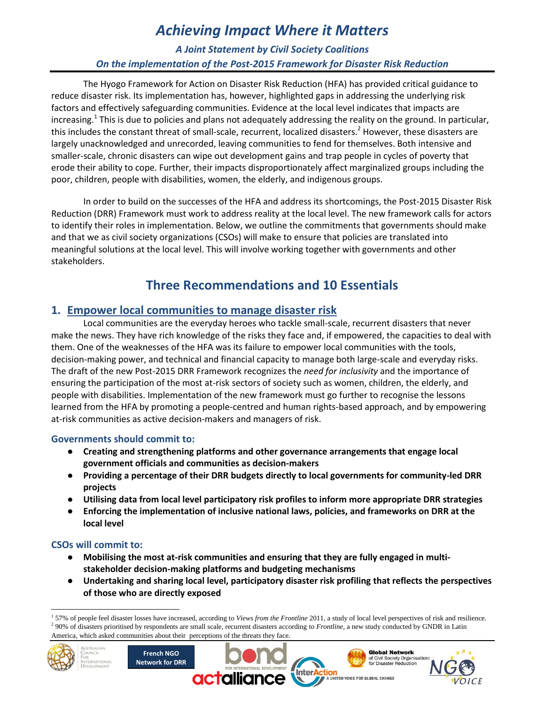# *Achieving Impact Where it Matters*

### *A Joint Statement by Civil Society Coalitions On the implementation of the Post-2015 Framework for Disaster Risk Reduction*

The Hyogo Framework for Action on Disaster Risk Reduction (HFA) has provided critical guidance to reduce disaster risk. Its implementation has, however, highlighted gaps in addressing the underlying risk factors and effectively safeguarding communities. Evidence at the local level indicates that impacts are increasing.<sup>1</sup> This is due to policies and plans not adequately addressing the reality on the ground. In particular, this includes the constant threat of small-scale, recurrent, localized disasters.<sup>2</sup> However, these disasters are largely unacknowledged and unrecorded, leaving communities to fend for themselves. Both intensive and smaller-scale, chronic disasters can wipe out development gains and trap people in cycles of poverty that erode their ability to cope. Further, their impacts disproportionately affect marginalized groups including the poor, children, people with disabilities, women, the elderly, and indigenous groups.

In order to build on the successes of the HFA and address its shortcomings, the Post-2015 Disaster Risk Reduction (DRR) Framework must work to address reality at the local level. The new framework calls for actors to identify their roles in implementation. Below, we outline the commitments that governments should make and that we as civil society organizations (CSOs) will make to ensure that policies are translated into meaningful solutions at the local level. This will involve working together with governments and other stakeholders.

## **Three Recommendations and 10 Essentials**

### **1. Empower local communities to manage disaster risk**

Local communities are the everyday heroes who tackle small-scale, recurrent disasters that never make the news. They have rich knowledge of the risks they face and, if empowered, the capacities to deal with them. One of the weaknesses of the HFA was its failure to empower local communities with the tools, decision-making power, and technical and financial capacity to manage both large-scale and everyday risks. The draft of the new Post-2015 DRR Framework recognizes the *need for inclusivity* and the importance of ensuring the participation of the most at-risk sectors of society such as women, children, the elderly, and people with disabilities. Implementation of the new framework must go further to recognise the lessons learned from the HFA by promoting a people-centred and human rights-based approach, and by empowering at-risk communities as active decision-makers and managers of risk.

#### **Governments should commit to:**

- **Creating and strengthening platforms and other governance arrangements that engage local government officials and communities as decision-makers**
- **Providing a percentage of their DRR budgets directly to local governments for community-led DRR projects**
- **Utilising data from local level participatory risk profiles to inform more appropriate DRR strategies**
- **Enforcing the implementation of inclusive national laws, policies, and frameworks on DRR at the local level**

#### **CSOs will commit to:**

**STRALIAN** 

**RNATIONAL** 

- **Mobilising the most at-risk communities and ensuring that they are fully engaged in multistakeholder decision-making platforms and budgeting mechanisms**
- **Undertaking and sharing local level, participatory disaster risk profiling that reflects the perspectives of those who are directly exposed**

<sup>&</sup>lt;sup>2</sup> 90% of disasters prioritised by respondents are small scale, recurrent disasters according to *Frontline*, a new study conducted by GNDR in Latin America, which asked communities about their perceptions of the threats they face.







 $\overline{a}$ <sup>1</sup> 57% of people feel disaster losses have increased, according to *Views from the Frontline* 2011, a study of local level perspectives of risk and resilience.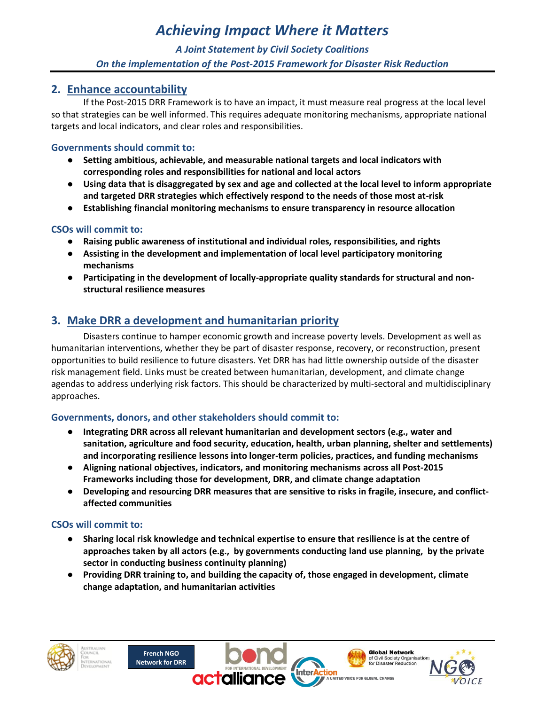# *Achieving Impact Where it Matters*

## *A Joint Statement by Civil Society Coalitions On the implementation of the Post-2015 Framework for Disaster Risk Reduction*

#### **2. Enhance accountability**

If the Post-2015 DRR Framework is to have an impact, it must measure real progress at the local level so that strategies can be well informed. This requires adequate monitoring mechanisms, appropriate national targets and local indicators, and clear roles and responsibilities.

#### **Governments should commit to:**

- **Setting ambitious, achievable, and measurable national targets and local indicators with corresponding roles and responsibilities for national and local actors**
- **Using data that is disaggregated by sex and age and collected at the local level to inform appropriate and targeted DRR strategies which effectively respond to the needs of those most at-risk**
- **Establishing financial monitoring mechanisms to ensure transparency in resource allocation**

#### **CSOs will commit to:**

- **Raising public awareness of institutional and individual roles, responsibilities, and rights**
- **Assisting in the development and implementation of local level participatory monitoring mechanisms**
- **Participating in the development of locally-appropriate quality standards for structural and nonstructural resilience measures**

## **3. Make DRR a development and humanitarian priority**

Disasters continue to hamper economic growth and increase poverty levels. Development as well as humanitarian interventions, whether they be part of disaster response, recovery, or reconstruction, present opportunities to build resilience to future disasters. Yet DRR has had little ownership outside of the disaster risk management field. Links must be created between humanitarian, development, and climate change agendas to address underlying risk factors. This should be characterized by multi-sectoral and multidisciplinary approaches.

#### **Governments, donors, and other stakeholders should commit to:**

- **Integrating DRR across all relevant humanitarian and development sectors (e.g., water and sanitation, agriculture and food security, education, health, urban planning, shelter and settlements) and incorporating resilience lessons into longer-term policies, practices, and funding mechanisms**
- **Aligning national objectives, indicators, and monitoring mechanisms across all Post-2015 Frameworks including those for development, DRR, and climate change adaptation**
- **Developing and resourcing DRR measures that are sensitive to risks in fragile, insecure, and conflictaffected communities**

#### **CSOs will commit to:**

- **Sharing local risk knowledge and technical expertise to ensure that resilience is at the centre of approaches taken by all actors (e.g., by governments conducting land use planning, by the private sector in conducting business continuity planning)**
- **Providing DRR training to, and building the capacity of, those engaged in development, climate change adaptation, and humanitarian activities**